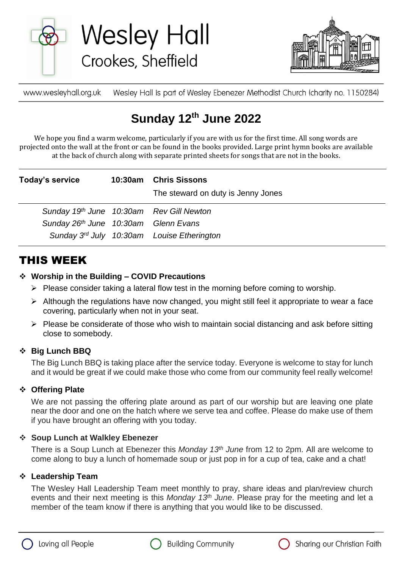

**Wesley Hall** Crookes, Sheffield



www.wesleyhall.org.uk Wesley Hall is part of Wesley Ebenezer Methodist Church (charity no. 1150284)

# **Sunday 12th June 2022**

We hope you find a warm welcome, particularly if you are with us for the first time. All song words are projected onto the wall at the front or can be found in the books provided. Large print hymn books are available at the back of church along with separate printed sheets for songs that are not in the books.

| Today's service                          | 10:30am Chris Sissons<br>The steward on duty is Jenny Jones |
|------------------------------------------|-------------------------------------------------------------|
| Sunday 19th June 10:30am Rev Gill Newton |                                                             |
| Sunday 26th June 10:30am Glenn Evans     |                                                             |
|                                          | Sunday $3^{rd}$ July 10:30am Louise Etherington             |

# THIS WEEK

### **Worship in the Building – COVID Precautions**

- $\triangleright$  Please consider taking a lateral flow test in the morning before coming to worship.
- $\triangleright$  Although the regulations have now changed, you might still feel it appropriate to wear a face covering, particularly when not in your seat.
- $\triangleright$  Please be considerate of those who wish to maintain social distancing and ask before sitting close to somebody.

### **Big Lunch BBQ**

The Big Lunch BBQ is taking place after the service today. Everyone is welcome to stay for lunch and it would be great if we could make those who come from our community feel really welcome!

## **Offering Plate**

We are not passing the offering plate around as part of our worship but are leaving one plate near the door and one on the hatch where we serve tea and coffee. Please do make use of them if you have brought an offering with you today.

### **Soup Lunch at Walkley Ebenezer**

There is a Soup Lunch at Ebenezer this *Monday 13th June* from 12 to 2pm. All are welcome to come along to buy a lunch of homemade soup or just pop in for a cup of tea, cake and a chat!

### **Leadership Team**

The Wesley Hall Leadership Team meet monthly to pray, share ideas and plan/review church events and their next meeting is this *Monday 13th June*. Please pray for the meeting and let a member of the team know if there is anything that you would like to be discussed.